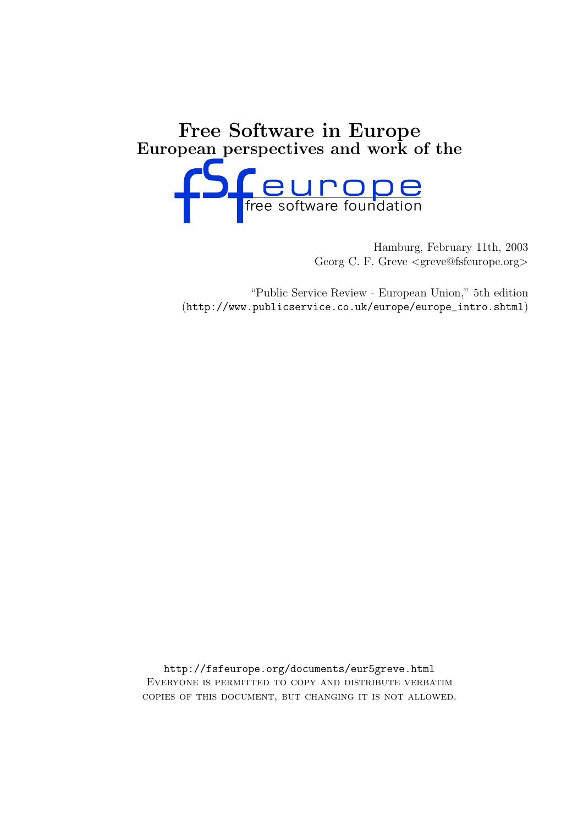# Free Software in Europe European perspectives and work of the



Hamburg, February 11th, 2003 Georg C. F. Greve <greve@fsfeurope.org>

"Public Service Review - European Union," 5th edition (http://www.publicservice.co.uk/europe/europe\_intro.shtml)

http://fsfeurope.org/documents/eur5greve.html Everyone is permitted to copy and distribute verbatim copies of this document, but changing it is not allowed.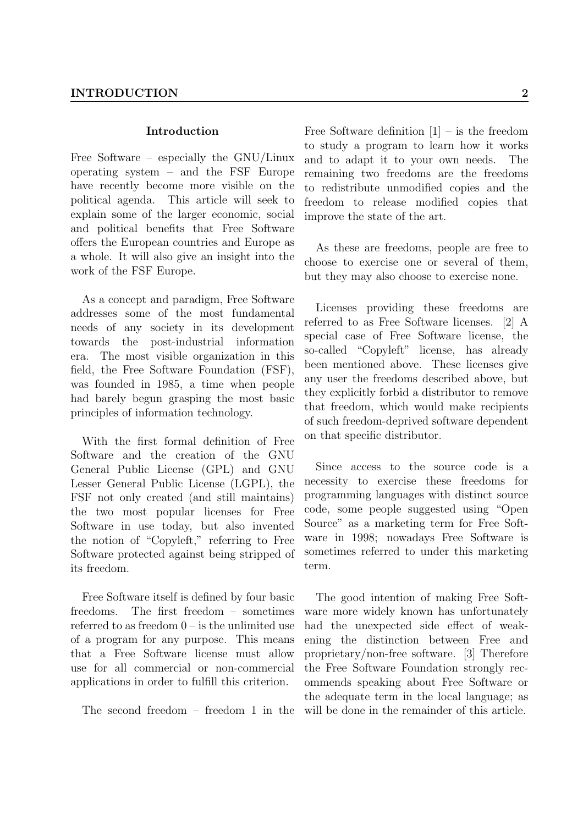#### Introduction

Free Software – especially the GNU/Linux operating system – and the FSF Europe have recently become more visible on the political agenda. This article will seek to explain some of the larger economic, social and political benefits that Free Software offers the European countries and Europe as a whole. It will also give an insight into the work of the FSF Europe.

As a concept and paradigm, Free Software addresses some of the most fundamental needs of any society in its development towards the post-industrial information era. The most visible organization in this field, the Free Software Foundation (FSF), was founded in 1985, a time when people had barely begun grasping the most basic principles of information technology.

With the first formal definition of Free Software and the creation of the GNU General Public License (GPL) and GNU Lesser General Public License (LGPL), the FSF not only created (and still maintains) the two most popular licenses for Free Software in use today, but also invented the notion of "Copyleft," referring to Free Software protected against being stripped of its freedom.

Free Software itself is defined by four basic freedoms. The first freedom – sometimes referred to as freedom  $0 -$  is the unlimited use of a program for any purpose. This means that a Free Software license must allow use for all commercial or non-commercial applications in order to fulfill this criterion.

The second freedom – freedom 1 in the

Free Software definition  $[1]$  – is the freedom to study a program to learn how it works and to adapt it to your own needs. The remaining two freedoms are the freedoms to redistribute unmodified copies and the freedom to release modified copies that improve the state of the art.

As these are freedoms, people are free to choose to exercise one or several of them, but they may also choose to exercise none.

Licenses providing these freedoms are referred to as Free Software licenses. [2] A special case of Free Software license, the so-called "Copyleft" license, has already been mentioned above. These licenses give any user the freedoms described above, but they explicitly forbid a distributor to remove that freedom, which would make recipients of such freedom-deprived software dependent on that specific distributor.

Since access to the source code is a necessity to exercise these freedoms for programming languages with distinct source code, some people suggested using "Open Source" as a marketing term for Free Software in 1998; nowadays Free Software is sometimes referred to under this marketing term.

The good intention of making Free Software more widely known has unfortunately had the unexpected side effect of weakening the distinction between Free and proprietary/non-free software. [3] Therefore the Free Software Foundation strongly recommends speaking about Free Software or the adequate term in the local language; as will be done in the remainder of this article.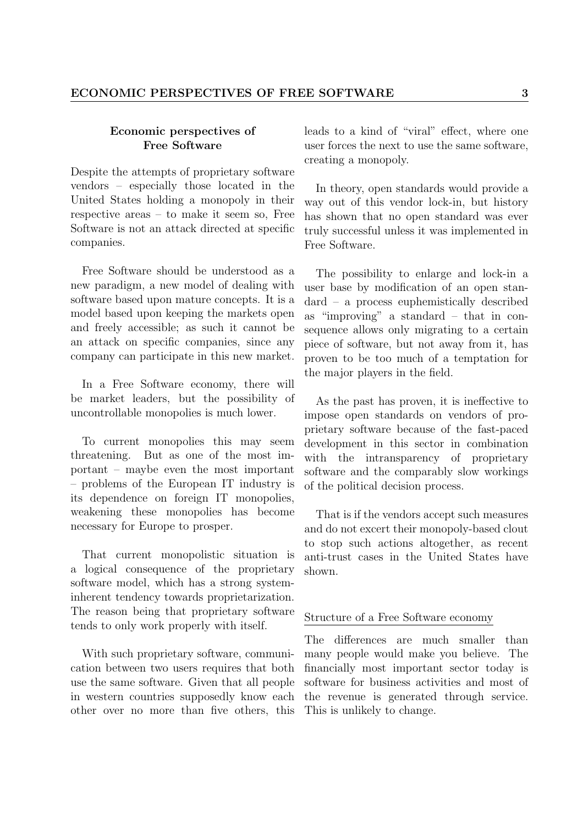## Economic perspectives of Free Software

Despite the attempts of proprietary software vendors – especially those located in the United States holding a monopoly in their respective areas – to make it seem so, Free Software is not an attack directed at specific companies.

Free Software should be understood as a new paradigm, a new model of dealing with software based upon mature concepts. It is a model based upon keeping the markets open and freely accessible; as such it cannot be an attack on specific companies, since any company can participate in this new market.

In a Free Software economy, there will be market leaders, but the possibility of uncontrollable monopolies is much lower.

To current monopolies this may seem threatening. But as one of the most important – maybe even the most important – problems of the European IT industry is its dependence on foreign IT monopolies, weakening these monopolies has become necessary for Europe to prosper.

That current monopolistic situation is a logical consequence of the proprietary software model, which has a strong systeminherent tendency towards proprietarization. The reason being that proprietary software tends to only work properly with itself.

With such proprietary software, communication between two users requires that both use the same software. Given that all people in western countries supposedly know each other over no more than five others, this leads to a kind of "viral" effect, where one user forces the next to use the same software, creating a monopoly.

In theory, open standards would provide a way out of this vendor lock-in, but history has shown that no open standard was ever truly successful unless it was implemented in Free Software.

The possibility to enlarge and lock-in a user base by modification of an open standard – a process euphemistically described as "improving" a standard – that in consequence allows only migrating to a certain piece of software, but not away from it, has proven to be too much of a temptation for the major players in the field.

As the past has proven, it is ineffective to impose open standards on vendors of proprietary software because of the fast-paced development in this sector in combination with the intransparency of proprietary software and the comparably slow workings of the political decision process.

That is if the vendors accept such measures and do not excert their monopoly-based clout to stop such actions altogether, as recent anti-trust cases in the United States have shown.

## Structure of a Free Software economy

The differences are much smaller than many people would make you believe. The financially most important sector today is software for business activities and most of the revenue is generated through service. This is unlikely to change.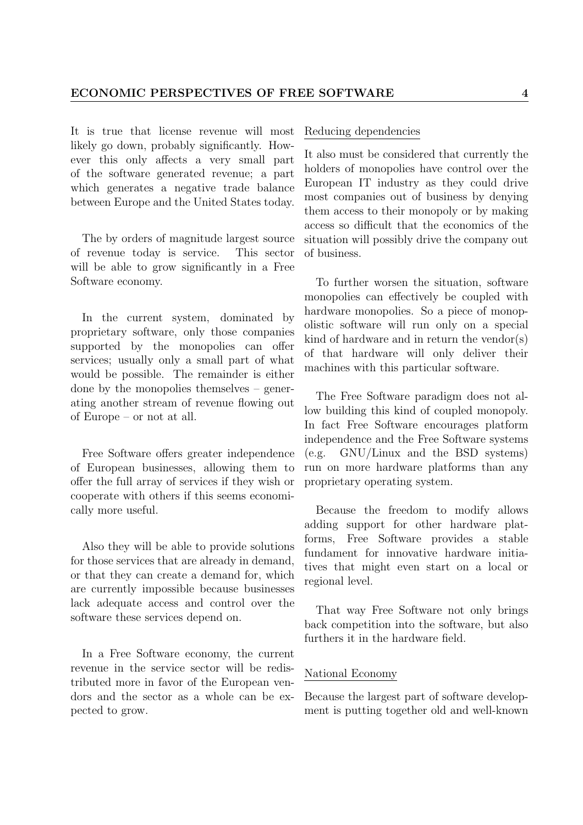It is true that license revenue will most likely go down, probably significantly. However this only affects a very small part of the software generated revenue; a part which generates a negative trade balance between Europe and the United States today.

The by orders of magnitude largest source of revenue today is service. This sector will be able to grow significantly in a Free Software economy.

In the current system, dominated by proprietary software, only those companies supported by the monopolies can offer services; usually only a small part of what would be possible. The remainder is either done by the monopolies themselves – generating another stream of revenue flowing out of Europe – or not at all.

Free Software offers greater independence of European businesses, allowing them to offer the full array of services if they wish or cooperate with others if this seems economically more useful.

Also they will be able to provide solutions for those services that are already in demand, or that they can create a demand for, which are currently impossible because businesses lack adequate access and control over the software these services depend on.

In a Free Software economy, the current revenue in the service sector will be redistributed more in favor of the European vendors and the sector as a whole can be expected to grow.

#### Reducing dependencies

It also must be considered that currently the holders of monopolies have control over the European IT industry as they could drive most companies out of business by denying them access to their monopoly or by making access so difficult that the economics of the situation will possibly drive the company out of business.

To further worsen the situation, software monopolies can effectively be coupled with hardware monopolies. So a piece of monopolistic software will run only on a special kind of hardware and in return the vendor(s) of that hardware will only deliver their machines with this particular software.

The Free Software paradigm does not allow building this kind of coupled monopoly. In fact Free Software encourages platform independence and the Free Software systems (e.g. GNU/Linux and the BSD systems) run on more hardware platforms than any proprietary operating system.

Because the freedom to modify allows adding support for other hardware platforms, Free Software provides a stable fundament for innovative hardware initiatives that might even start on a local or regional level.

That way Free Software not only brings back competition into the software, but also furthers it in the hardware field.

## National Economy

Because the largest part of software development is putting together old and well-known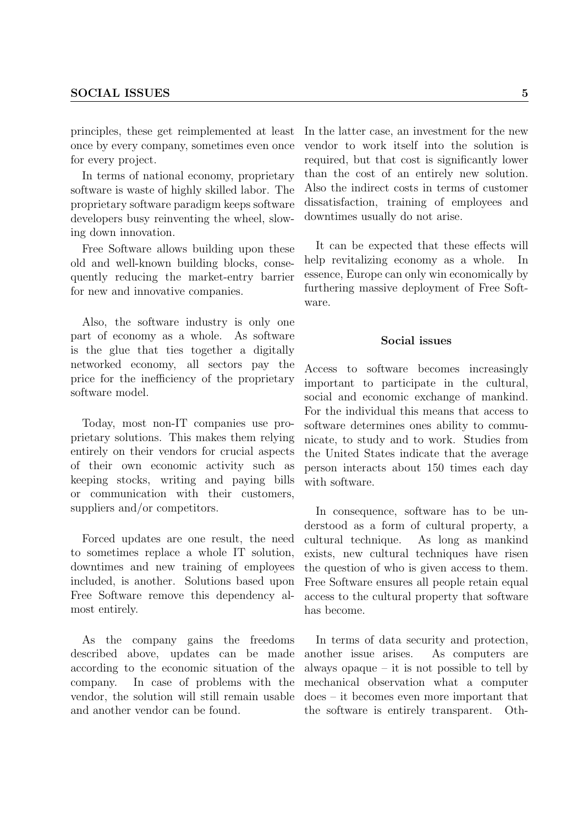principles, these get reimplemented at least once by every company, sometimes even once for every project.

In terms of national economy, proprietary software is waste of highly skilled labor. The proprietary software paradigm keeps software developers busy reinventing the wheel, slowing down innovation.

Free Software allows building upon these old and well-known building blocks, consequently reducing the market-entry barrier for new and innovative companies.

Also, the software industry is only one part of economy as a whole. As software is the glue that ties together a digitally networked economy, all sectors pay the price for the inefficiency of the proprietary software model.

Today, most non-IT companies use proprietary solutions. This makes them relying entirely on their vendors for crucial aspects of their own economic activity such as keeping stocks, writing and paying bills or communication with their customers, suppliers and/or competitors.

Forced updates are one result, the need to sometimes replace a whole IT solution, downtimes and new training of employees included, is another. Solutions based upon Free Software remove this dependency almost entirely.

As the company gains the freedoms described above, updates can be made according to the economic situation of the company. In case of problems with the vendor, the solution will still remain usable and another vendor can be found.

In the latter case, an investment for the new vendor to work itself into the solution is required, but that cost is significantly lower than the cost of an entirely new solution. Also the indirect costs in terms of customer dissatisfaction, training of employees and downtimes usually do not arise.

It can be expected that these effects will help revitalizing economy as a whole. In essence, Europe can only win economically by furthering massive deployment of Free Software.

## Social issues

Access to software becomes increasingly important to participate in the cultural, social and economic exchange of mankind. For the individual this means that access to software determines ones ability to communicate, to study and to work. Studies from the United States indicate that the average person interacts about 150 times each day with software.

In consequence, software has to be understood as a form of cultural property, a cultural technique. As long as mankind exists, new cultural techniques have risen the question of who is given access to them. Free Software ensures all people retain equal access to the cultural property that software has become.

In terms of data security and protection, another issue arises. As computers are always opaque – it is not possible to tell by mechanical observation what a computer does – it becomes even more important that the software is entirely transparent. Oth-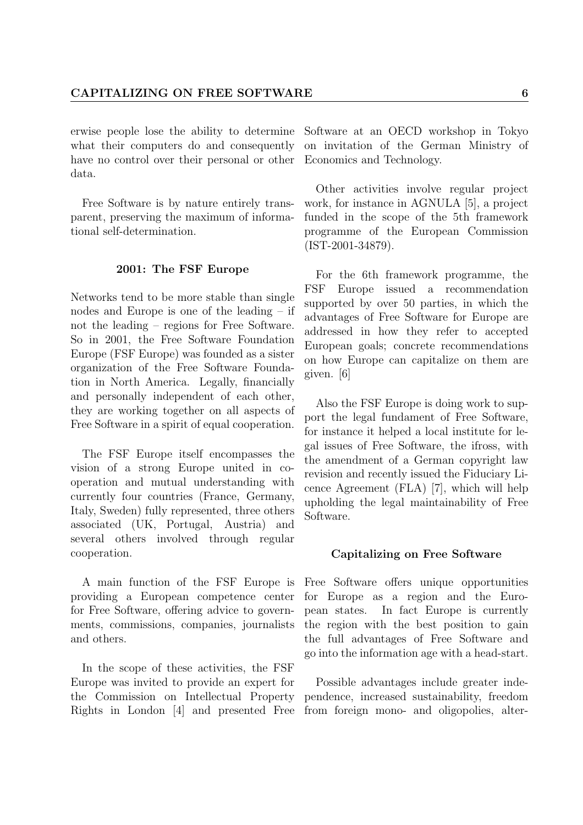erwise people lose the ability to determine Software at an OECD workshop in Tokyo what their computers do and consequently have no control over their personal or other Economics and Technology. data.

Free Software is by nature entirely transparent, preserving the maximum of informational self-determination.

## 2001: The FSF Europe

Networks tend to be more stable than single nodes and Europe is one of the leading – if not the leading – regions for Free Software. So in 2001, the Free Software Foundation Europe (FSF Europe) was founded as a sister organization of the Free Software Foundation in North America. Legally, financially and personally independent of each other, they are working together on all aspects of Free Software in a spirit of equal cooperation.

The FSF Europe itself encompasses the vision of a strong Europe united in cooperation and mutual understanding with currently four countries (France, Germany, Italy, Sweden) fully represented, three others associated (UK, Portugal, Austria) and several others involved through regular cooperation.

A main function of the FSF Europe is providing a European competence center for Free Software, offering advice to governments, commissions, companies, journalists and others.

In the scope of these activities, the FSF Europe was invited to provide an expert for the Commission on Intellectual Property Rights in London [4] and presented Free on invitation of the German Ministry of

Other activities involve regular project work, for instance in AGNULA [5], a project funded in the scope of the 5th framework programme of the European Commission (IST-2001-34879).

For the 6th framework programme, the FSF Europe issued a recommendation supported by over 50 parties, in which the advantages of Free Software for Europe are addressed in how they refer to accepted European goals; concrete recommendations on how Europe can capitalize on them are given. [6]

Also the FSF Europe is doing work to support the legal fundament of Free Software, for instance it helped a local institute for legal issues of Free Software, the ifross, with the amendment of a German copyright law revision and recently issued the Fiduciary Licence Agreement (FLA) [7], which will help upholding the legal maintainability of Free Software.

#### Capitalizing on Free Software

Free Software offers unique opportunities for Europe as a region and the European states. In fact Europe is currently the region with the best position to gain the full advantages of Free Software and go into the information age with a head-start.

Possible advantages include greater independence, increased sustainability, freedom from foreign mono- and oligopolies, alter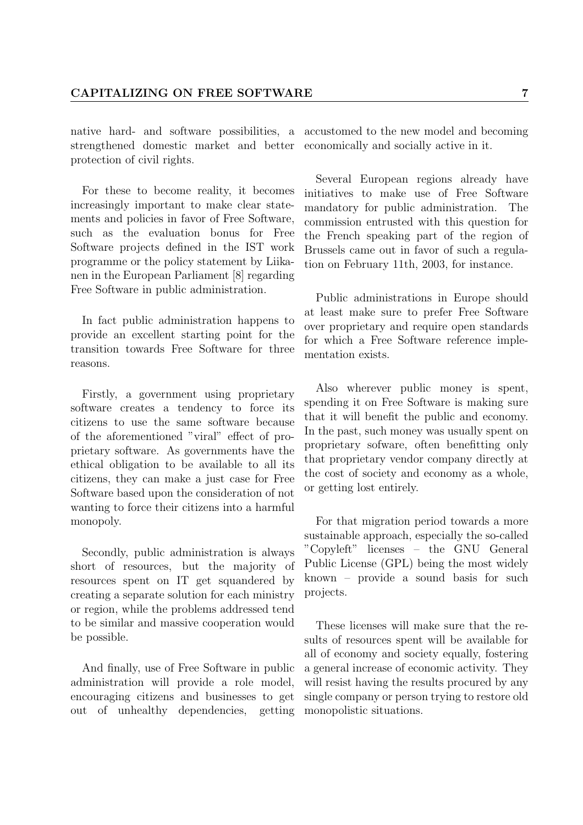native hard- and software possibilities, a strengthened domestic market and better protection of civil rights.

For these to become reality, it becomes increasingly important to make clear statements and policies in favor of Free Software, such as the evaluation bonus for Free Software projects defined in the IST work programme or the policy statement by Liikanen in the European Parliament [8] regarding Free Software in public administration.

In fact public administration happens to provide an excellent starting point for the transition towards Free Software for three reasons.

Firstly, a government using proprietary software creates a tendency to force its citizens to use the same software because of the aforementioned "viral" effect of proprietary software. As governments have the ethical obligation to be available to all its citizens, they can make a just case for Free Software based upon the consideration of not wanting to force their citizens into a harmful monopoly.

Secondly, public administration is always short of resources, but the majority of resources spent on IT get squandered by creating a separate solution for each ministry or region, while the problems addressed tend to be similar and massive cooperation would be possible.

And finally, use of Free Software in public administration will provide a role model, encouraging citizens and businesses to get out of unhealthy dependencies, getting accustomed to the new model and becoming economically and socially active in it.

Several European regions already have initiatives to make use of Free Software mandatory for public administration. The commission entrusted with this question for the French speaking part of the region of Brussels came out in favor of such a regulation on February 11th, 2003, for instance.

Public administrations in Europe should at least make sure to prefer Free Software over proprietary and require open standards for which a Free Software reference implementation exists.

Also wherever public money is spent, spending it on Free Software is making sure that it will benefit the public and economy. In the past, such money was usually spent on proprietary sofware, often benefitting only that proprietary vendor company directly at the cost of society and economy as a whole, or getting lost entirely.

For that migration period towards a more sustainable approach, especially the so-called "Copyleft" licenses – the GNU General Public License (GPL) being the most widely known – provide a sound basis for such projects.

These licenses will make sure that the results of resources spent will be available for all of economy and society equally, fostering a general increase of economic activity. They will resist having the results procured by any single company or person trying to restore old monopolistic situations.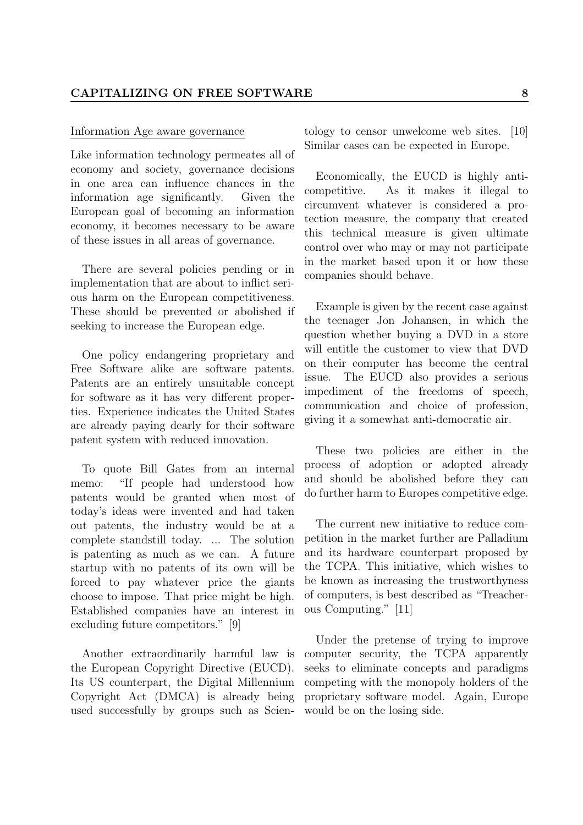#### Information Age aware governance

Like information technology permeates all of economy and society, governance decisions in one area can influence chances in the information age significantly. Given the European goal of becoming an information economy, it becomes necessary to be aware of these issues in all areas of governance.

There are several policies pending or in implementation that are about to inflict serious harm on the European competitiveness. These should be prevented or abolished if seeking to increase the European edge.

One policy endangering proprietary and Free Software alike are software patents. Patents are an entirely unsuitable concept for software as it has very different properties. Experience indicates the United States are already paying dearly for their software patent system with reduced innovation.

To quote Bill Gates from an internal memo: "If people had understood how patents would be granted when most of today's ideas were invented and had taken out patents, the industry would be at a complete standstill today. ... The solution is patenting as much as we can. A future startup with no patents of its own will be forced to pay whatever price the giants choose to impose. That price might be high. Established companies have an interest in excluding future competitors." [9]

Another extraordinarily harmful law is the European Copyright Directive (EUCD). Its US counterpart, the Digital Millennium Copyright Act (DMCA) is already being used successfully by groups such as Scientology to censor unwelcome web sites. [10] Similar cases can be expected in Europe.

Economically, the EUCD is highly anticompetitive. As it makes it illegal to circumvent whatever is considered a protection measure, the company that created this technical measure is given ultimate control over who may or may not participate in the market based upon it or how these companies should behave.

Example is given by the recent case against the teenager Jon Johansen, in which the question whether buying a DVD in a store will entitle the customer to view that DVD on their computer has become the central issue. The EUCD also provides a serious impediment of the freedoms of speech, communication and choice of profession, giving it a somewhat anti-democratic air.

These two policies are either in the process of adoption or adopted already and should be abolished before they can do further harm to Europes competitive edge.

The current new initiative to reduce competition in the market further are Palladium and its hardware counterpart proposed by the TCPA. This initiative, which wishes to be known as increasing the trustworthyness of computers, is best described as "Treacherous Computing." [11]

Under the pretense of trying to improve computer security, the TCPA apparently seeks to eliminate concepts and paradigms competing with the monopoly holders of the proprietary software model. Again, Europe would be on the losing side.